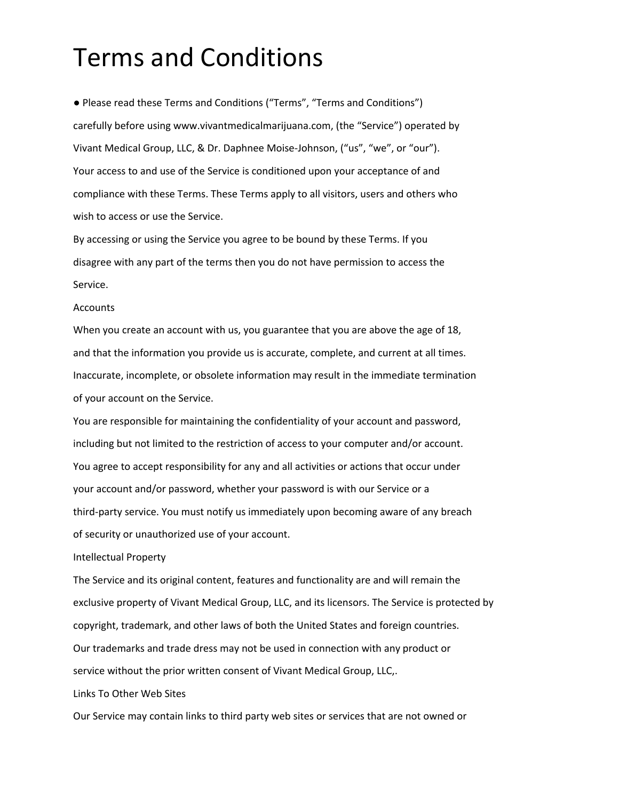# Terms and Conditions

● Please read these Terms and Conditions ("Terms", "Terms and Conditions") carefully before using www.vivantmedicalmarijuana.com, (the "Service") operated by Vivant Medical Group, LLC, & Dr. Daphnee Moise-Johnson, ("us", "we", or "our"). Your access to and use of the Service is conditioned upon your acceptance of and compliance with these Terms. These Terms apply to all visitors, users and others who wish to access or use the Service.

By accessing or using the Service you agree to be bound by these Terms. If you disagree with any part of the terms then you do not have permission to access the Service.

#### Accounts

When you create an account with us, you guarantee that you are above the age of 18, and that the information you provide us is accurate, complete, and current at all times. Inaccurate, incomplete, or obsolete information may result in the immediate termination of your account on the Service.

You are responsible for maintaining the confidentiality of your account and password, including but not limited to the restriction of access to your computer and/or account. You agree to accept responsibility for any and all activities or actions that occur under your account and/or password, whether your password is with our Service or a third-party service. You must notify us immediately upon becoming aware of any breach of security or unauthorized use of your account.

#### Intellectual Property

The Service and its original content, features and functionality are and will remain the exclusive property of Vivant Medical Group, LLC, and its licensors. The Service is protected by copyright, trademark, and other laws of both the United States and foreign countries. Our trademarks and trade dress may not be used in connection with any product or service without the prior written consent of Vivant Medical Group, LLC,.

## Links To Other Web Sites

Our Service may contain links to third party web sites or services that are not owned or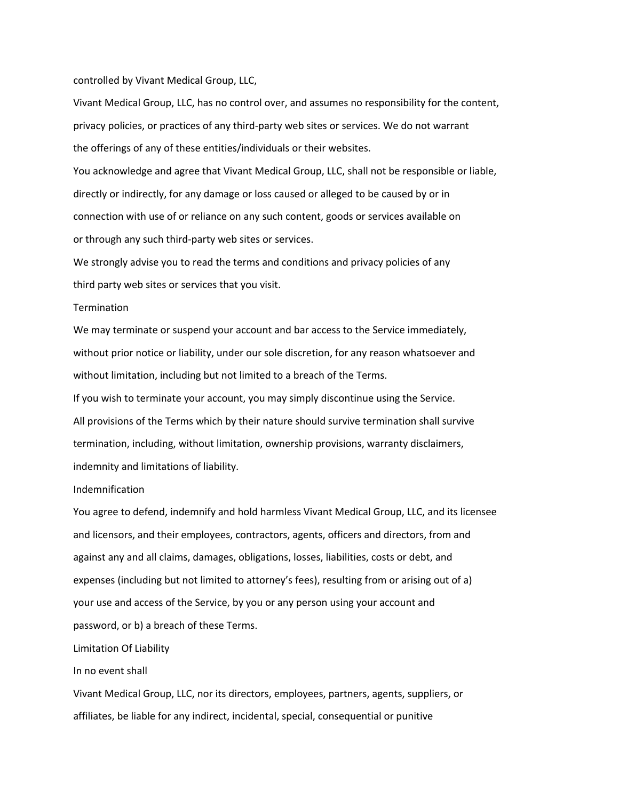controlled by Vivant Medical Group, LLC,

Vivant Medical Group, LLC, has no control over, and assumes no responsibility for the content, privacy policies, or practices of any third-party web sites or services. We do not warrant the offerings of any of these entities/individuals or their websites.

You acknowledge and agree that Vivant Medical Group, LLC, shall not be responsible or liable, directly or indirectly, for any damage or loss caused or alleged to be caused by or in connection with use of or reliance on any such content, goods or services available on or through any such third-party web sites or services.

We strongly advise you to read the terms and conditions and privacy policies of any third party web sites or services that you visit.

## Termination

We may terminate or suspend your account and bar access to the Service immediately, without prior notice or liability, under our sole discretion, for any reason whatsoever and without limitation, including but not limited to a breach of the Terms.

If you wish to terminate your account, you may simply discontinue using the Service. All provisions of the Terms which by their nature should survive termination shall survive termination, including, without limitation, ownership provisions, warranty disclaimers, indemnity and limitations of liability.

#### Indemnification

You agree to defend, indemnify and hold harmless Vivant Medical Group, LLC, and its licensee and licensors, and their employees, contractors, agents, officers and directors, from and against any and all claims, damages, obligations, losses, liabilities, costs or debt, and expenses (including but not limited to attorney's fees), resulting from or arising out of a) your use and access of the Service, by you or any person using your account and password, or b) a breach of these Terms.

#### Limitation Of Liability

#### In no event shall

Vivant Medical Group, LLC, nor its directors, employees, partners, agents, suppliers, or affiliates, be liable for any indirect, incidental, special, consequential or punitive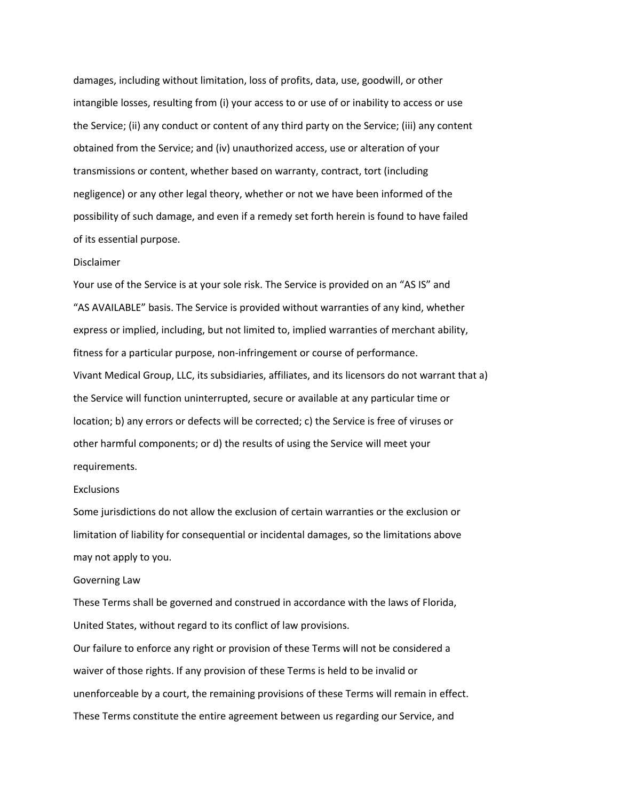damages, including without limitation, loss of profits, data, use, goodwill, or other intangible losses, resulting from (i) your access to or use of or inability to access or use the Service; (ii) any conduct or content of any third party on the Service; (iii) any content obtained from the Service; and (iv) unauthorized access, use or alteration of your transmissions or content, whether based on warranty, contract, tort (including negligence) or any other legal theory, whether or not we have been informed of the possibility of such damage, and even if a remedy set forth herein is found to have failed of its essential purpose.

## Disclaimer

Your use of the Service is at your sole risk. The Service is provided on an "AS IS" and "AS AVAILABLE" basis. The Service is provided without warranties of any kind, whether express or implied, including, but not limited to, implied warranties of merchant ability, fitness for a particular purpose, non-infringement or course of performance. Vivant Medical Group, LLC, its subsidiaries, affiliates, and its licensors do not warrant that a) the Service will function uninterrupted, secure or available at any particular time or location; b) any errors or defects will be corrected; c) the Service is free of viruses or other harmful components; or d) the results of using the Service will meet your requirements.

## Exclusions

Some jurisdictions do not allow the exclusion of certain warranties or the exclusion or limitation of liability for consequential or incidental damages, so the limitations above may not apply to you.

#### Governing Law

These Terms shall be governed and construed in accordance with the laws of Florida, United States, without regard to its conflict of law provisions.

Our failure to enforce any right or provision of these Terms will not be considered a waiver of those rights. If any provision of these Terms is held to be invalid or unenforceable by a court, the remaining provisions of these Terms will remain in effect. These Terms constitute the entire agreement between us regarding our Service, and